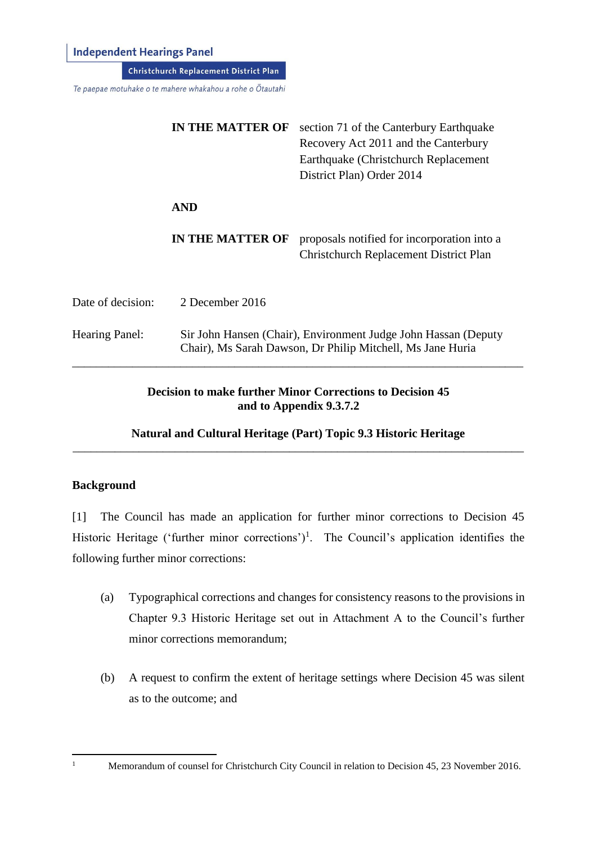**Independent Hearings Panel** 

**Christchurch Replacement District Plan** 

Te paepae motuhake o te mahere whakahou a rohe o Ōtautahi

|                       | <b>IN THE MATTER OF</b> | section 71 of the Canterbury Earthquake<br>Recovery Act 2011 and the Canterbury<br>Earthquake (Christchurch Replacement)<br>District Plan) Order 2014 |
|-----------------------|-------------------------|-------------------------------------------------------------------------------------------------------------------------------------------------------|
|                       | <b>AND</b>              |                                                                                                                                                       |
|                       | <b>IN THE MATTER OF</b> | proposals notified for incorporation into a<br><b>Christchurch Replacement District Plan</b>                                                          |
| Date of decision:     | 2 December 2016         |                                                                                                                                                       |
| <b>Hearing Panel:</b> |                         | Sir John Hansen (Chair), Environment Judge John Hassan (Deputy<br>Chair), Ms Sarah Dawson, Dr Philip Mitchell, Ms Jane Huria                          |

## **Decision to make further Minor Corrections to Decision 45 and to Appendix 9.3.7.2**

## **Natural and Cultural Heritage (Part) Topic 9.3 Historic Heritage** \_\_\_\_\_\_\_\_\_\_\_\_\_\_\_\_\_\_\_\_\_\_\_\_\_\_\_\_\_\_\_\_\_\_\_\_\_\_\_\_\_\_\_\_\_\_\_\_\_\_\_\_\_\_\_\_\_\_\_\_\_\_\_\_\_\_\_\_\_\_\_\_\_\_\_

### **Background**

[1] The Council has made an application for further minor corrections to Decision 45 Historic Heritage ('further minor corrections')<sup>1</sup>. The Council's application identifies the following further minor corrections:

- (a) Typographical corrections and changes for consistency reasons to the provisions in Chapter 9.3 Historic Heritage set out in Attachment A to the Council's further minor corrections memorandum;
- (b) A request to confirm the extent of heritage settings where Decision 45 was silent as to the outcome; and

<sup>1</sup> Memorandum of counsel for Christchurch City Council in relation to Decision 45, 23 November 2016.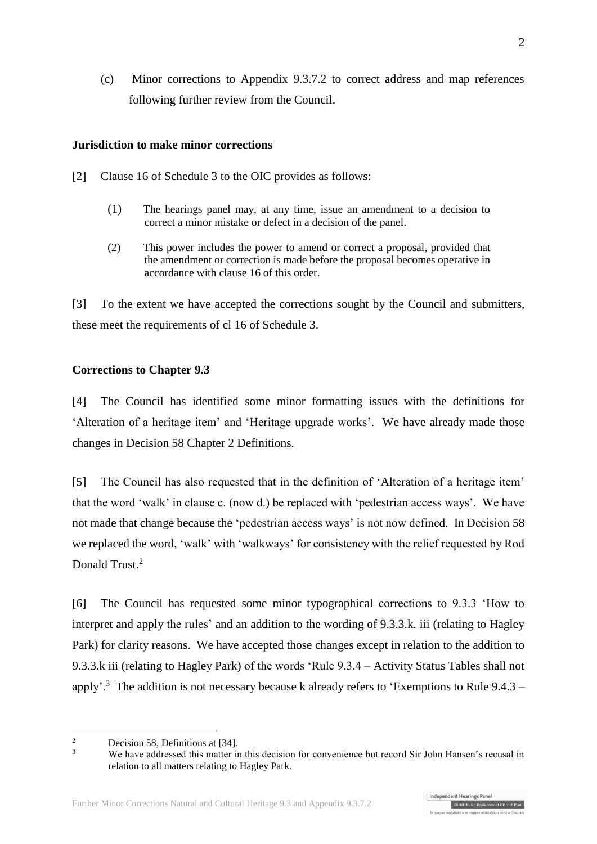(c) Minor corrections to Appendix 9.3.7.2 to correct address and map references following further review from the Council.

## **Jurisdiction to make minor corrections**

- [2] Clause 16 of Schedule 3 to the OIC provides as follows:
	- (1) The hearings panel may, at any time, issue an amendment to a decision to correct a minor mistake or defect in a decision of the panel.
	- (2) This power includes the power to amend or correct a proposal, provided that the amendment or correction is made before the proposal becomes operative in accordance with [clause 16](http://www.legislation.govt.nz/regulation/public/2014/0228/latest/whole.html#DLM6189936) of this order.

[3] To the extent we have accepted the corrections sought by the Council and submitters, these meet the requirements of cl 16 of Schedule 3.

## **Corrections to Chapter 9.3**

[4] The Council has identified some minor formatting issues with the definitions for 'Alteration of a heritage item' and 'Heritage upgrade works'. We have already made those changes in Decision 58 Chapter 2 Definitions.

[5] The Council has also requested that in the definition of 'Alteration of a heritage item' that the word 'walk' in clause c. (now d.) be replaced with 'pedestrian access ways'. We have not made that change because the 'pedestrian access ways' is not now defined. In Decision 58 we replaced the word, 'walk' with 'walkways' for consistency with the relief requested by Rod Donald Trust.<sup>2</sup>

[6] The Council has requested some minor typographical corrections to 9.3.3 'How to interpret and apply the rules' and an addition to the wording of 9.3.3.k. iii (relating to Hagley Park) for clarity reasons. We have accepted those changes except in relation to the addition to 9.3.3.k iii (relating to Hagley Park) of the words 'Rule 9.3.4 – Activity Status Tables shall not apply'.<sup>3</sup> The addition is not necessary because k already refers to 'Exemptions to Rule  $9.4.3$  –



 $\overline{\mathcal{L}}$ <sup>2</sup> Decision 58, Definitions at [34].

We have addressed this matter in this decision for convenience but record Sir John Hansen's recusal in relation to all matters relating to Hagley Park.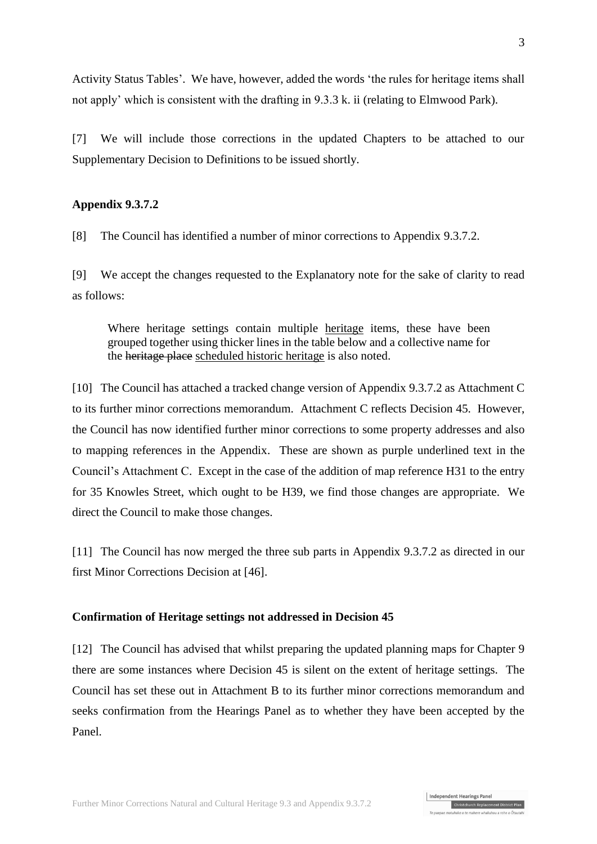Activity Status Tables'. We have, however, added the words 'the rules for heritage items shall not apply' which is consistent with the drafting in 9.3.3 k. ii (relating to Elmwood Park).

[7] We will include those corrections in the updated Chapters to be attached to our Supplementary Decision to Definitions to be issued shortly.

### **Appendix 9.3.7.2**

[8] The Council has identified a number of minor corrections to Appendix 9.3.7.2.

[9] We accept the changes requested to the Explanatory note for the sake of clarity to read as follows:

Where heritage settings contain multiple heritage items, these have been grouped together using thicker lines in the table below and a collective name for the heritage place scheduled historic heritage is also noted.

[10] The Council has attached a tracked change version of Appendix 9.3.7.2 as Attachment C to its further minor corrections memorandum. Attachment C reflects Decision 45. However, the Council has now identified further minor corrections to some property addresses and also to mapping references in the Appendix. These are shown as purple underlined text in the Council's Attachment C. Except in the case of the addition of map reference H31 to the entry for 35 Knowles Street, which ought to be H39, we find those changes are appropriate. We direct the Council to make those changes.

[11] The Council has now merged the three sub parts in Appendix 9.3.7.2 as directed in our first Minor Corrections Decision at [46].

#### <span id="page-2-0"></span>**Confirmation of Heritage settings not addressed in Decision 45**

[12] The Council has advised that whilst preparing the updated planning maps for Chapter 9 there are some instances where Decision 45 is silent on the extent of heritage settings. The Council has set these out in Attachment B to its further minor corrections memorandum and seeks confirmation from the Hearings Panel as to whether they have been accepted by the Panel.

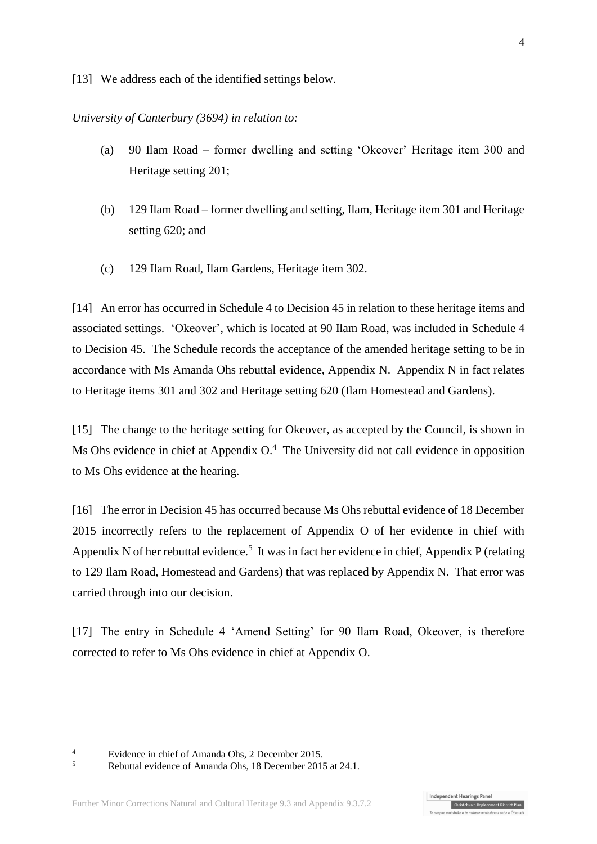[13] We address each of the identified settings below.

*University of Canterbury (3694) in relation to:*

- (a) 90 Ilam Road former dwelling and setting 'Okeover' Heritage item 300 and Heritage setting 201;
- (b) 129 Ilam Road former dwelling and setting, Ilam, Heritage item 301 and Heritage setting 620; and
- (c) 129 Ilam Road, Ilam Gardens, Heritage item 302.

[14] An error has occurred in Schedule 4 to Decision 45 in relation to these heritage items and associated settings. 'Okeover', which is located at 90 Ilam Road, was included in Schedule 4 to Decision 45. The Schedule records the acceptance of the amended heritage setting to be in accordance with Ms Amanda Ohs rebuttal evidence, Appendix N. Appendix N in fact relates to Heritage items 301 and 302 and Heritage setting 620 (Ilam Homestead and Gardens).

[15] The change to the heritage setting for Okeover, as accepted by the Council, is shown in Ms Ohs evidence in chief at Appendix  $O<sup>4</sup>$ . The University did not call evidence in opposition to Ms Ohs evidence at the hearing.

[16] The error in Decision 45 has occurred because Ms Ohs rebuttal evidence of 18 December 2015 incorrectly refers to the replacement of Appendix O of her evidence in chief with Appendix N of her rebuttal evidence.<sup>5</sup> It was in fact her evidence in chief, Appendix P (relating to 129 Ilam Road, Homestead and Gardens) that was replaced by Appendix N. That error was carried through into our decision.

[17] The entry in Schedule 4 'Amend Setting' for 90 Ilam Road, Okeover, is therefore corrected to refer to Ms Ohs evidence in chief at Appendix O.

<sup>&</sup>lt;sup>4</sup><br>Evidence in chief of Amanda Ohs, 2 December 2015.<br>Rehuttel suidance of Amanda Ohs, <sup>18</sup> December 2016

<sup>5</sup> Rebuttal evidence of Amanda Ohs, 18 December 2015 at 24.1.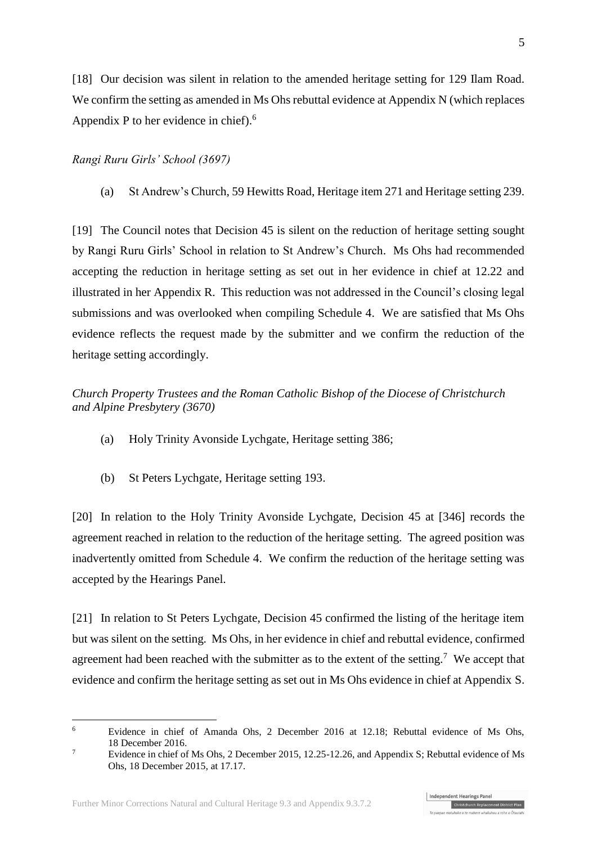[18] Our decision was silent in relation to the amended heritage setting for 129 Ilam Road. We confirm the setting as amended in Ms Ohs rebuttal evidence at Appendix N (which replaces Appendix P to her evidence in chief). 6

### *Rangi Ruru Girls' School (3697)*

(a) St Andrew's Church, 59 Hewitts Road, Heritage item 271 and Heritage setting 239.

[19] The Council notes that Decision 45 is silent on the reduction of heritage setting sought by Rangi Ruru Girls' School in relation to St Andrew's Church. Ms Ohs had recommended accepting the reduction in heritage setting as set out in her evidence in chief at 12.22 and illustrated in her Appendix R. This reduction was not addressed in the Council's closing legal submissions and was overlooked when compiling Schedule 4. We are satisfied that Ms Ohs evidence reflects the request made by the submitter and we confirm the reduction of the heritage setting accordingly.

## *Church Property Trustees and the Roman Catholic Bishop of the Diocese of Christchurch and Alpine Presbytery (3670)*

- (a) Holy Trinity Avonside Lychgate, Heritage setting 386;
- (b) St Peters Lychgate, Heritage setting 193.

[20] In relation to the Holy Trinity Avonside Lychgate, Decision 45 at [346] records the agreement reached in relation to the reduction of the heritage setting. The agreed position was inadvertently omitted from Schedule 4. We confirm the reduction of the heritage setting was accepted by the Hearings Panel.

[21] In relation to St Peters Lychgate, Decision 45 confirmed the listing of the heritage item but was silent on the setting. Ms Ohs, in her evidence in chief and rebuttal evidence, confirmed agreement had been reached with the submitter as to the extent of the setting.<sup>7</sup> We accept that evidence and confirm the heritage setting as set out in Ms Ohs evidence in chief at Appendix S.

<sup>6</sup> Evidence in chief of Amanda Ohs, 2 December 2016 at 12.18; Rebuttal evidence of Ms Ohs, 18 December 2016.

<sup>&</sup>lt;sup>7</sup> Evidence in chief of Ms Ohs, 2 December 2015, 12.25-12.26, and Appendix S; Rebuttal evidence of Ms Ohs, 18 December 2015, at 17.17.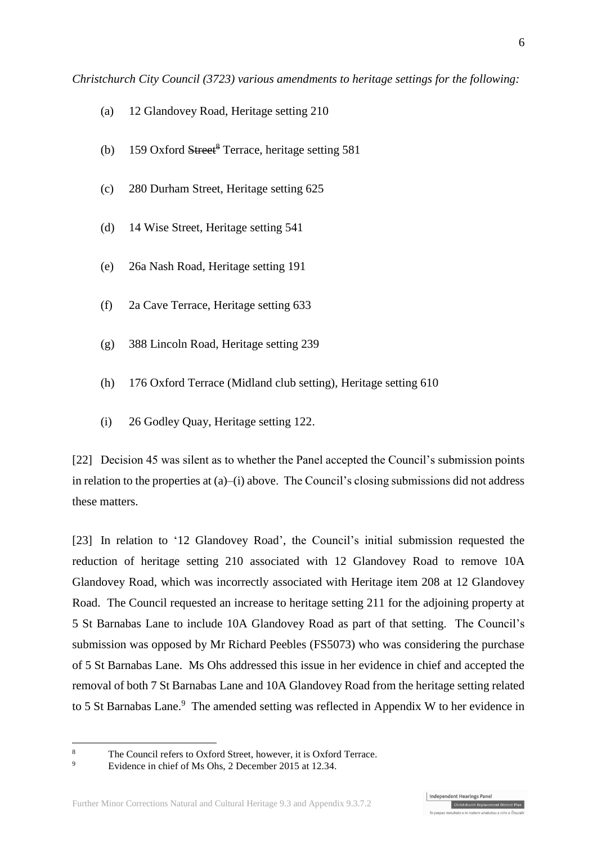- (a) 12 Glandovey Road, Heritage setting 210
- (b) 159 Oxford Street<sup>8</sup> Terrace, heritage setting 581
- (c) 280 Durham Street, Heritage setting 625
- (d) 14 Wise Street, Heritage setting 541
- (e) 26a Nash Road, Heritage setting 191
- (f) 2a Cave Terrace, Heritage setting 633
- (g) 388 Lincoln Road, Heritage setting 239
- (h) 176 Oxford Terrace (Midland club setting), Heritage setting 610
- (i) 26 Godley Quay, Heritage setting 122.

[22] Decision 45 was silent as to whether the Panel accepted the Council's submission points in relation to the properties at (a)–(i) above. The Council's closing submissions did not address these matters.

[23] In relation to '12 Glandovey Road', the Council's initial submission requested the reduction of heritage setting 210 associated with 12 Glandovey Road to remove 10A Glandovey Road, which was incorrectly associated with Heritage item 208 at 12 Glandovey Road. The Council requested an increase to heritage setting 211 for the adjoining property at 5 St Barnabas Lane to include 10A Glandovey Road as part of that setting. The Council's submission was opposed by Mr Richard Peebles (FS5073) who was considering the purchase of 5 St Barnabas Lane. Ms Ohs addressed this issue in her evidence in chief and accepted the removal of both 7 St Barnabas Lane and 10A Glandovey Road from the heritage setting related to 5 St Barnabas Lane.<sup>9</sup> The amended setting was reflected in Appendix W to her evidence in

<sup>&</sup>lt;sup>8</sup> The Council refers to Oxford Street, however, it is Oxford Terrace.

Evidence in chief of Ms Ohs, 2 December 2015 at 12.34.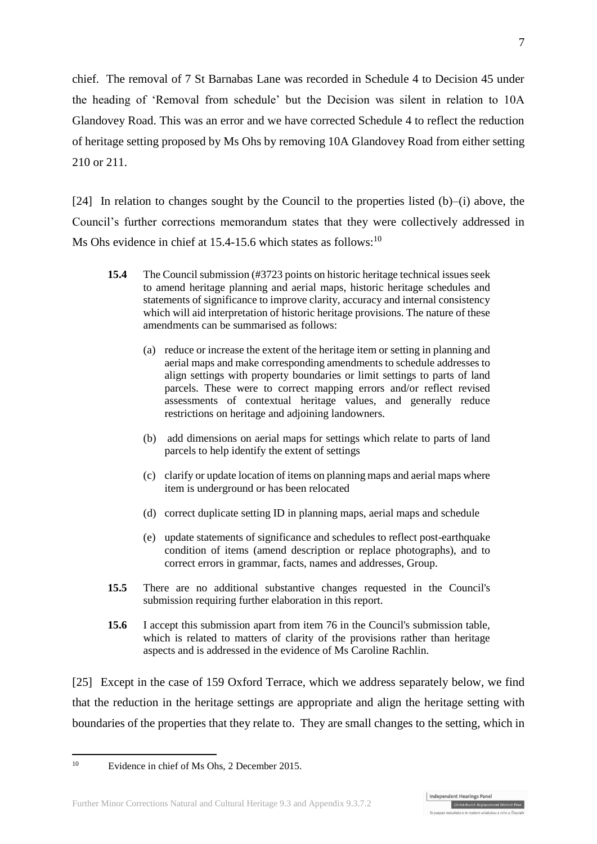chief. The removal of 7 St Barnabas Lane was recorded in Schedule 4 to Decision 45 under the heading of 'Removal from schedule' but the Decision was silent in relation to 10A Glandovey Road. This was an error and we have corrected Schedule 4 to reflect the reduction of heritage setting proposed by Ms Ohs by removing 10A Glandovey Road from either setting 210 or 211.

<span id="page-6-0"></span>[24] In relation to changes sought by the Council to the properties listed  $(b)$ –(i) above, the Council's further corrections memorandum states that they were collectively addressed in Ms Ohs evidence in chief at  $15.4$ -15.6 which states as follows:<sup>10</sup>

- **15.4** The Council submission (#3723 points on historic heritage technical issues seek to amend heritage planning and aerial maps, historic heritage schedules and statements of significance to improve clarity, accuracy and internal consistency which will aid interpretation of historic heritage provisions. The nature of these amendments can be summarised as follows:
	- (a) reduce or increase the extent of the heritage item or setting in planning and aerial maps and make corresponding amendments to schedule addresses to align settings with property boundaries or limit settings to parts of land parcels. These were to correct mapping errors and/or reflect revised assessments of contextual heritage values, and generally reduce restrictions on heritage and adjoining landowners.
	- (b) add dimensions on aerial maps for settings which relate to parts of land parcels to help identify the extent of settings
	- (c) clarify or update location of items on planning maps and aerial maps where item is underground or has been relocated
	- (d) correct duplicate setting ID in planning maps, aerial maps and schedule
	- (e) update statements of significance and schedules to reflect post-earthquake condition of items (amend description or replace photographs), and to correct errors in grammar, facts, names and addresses, Group.
- **15.5** There are no additional substantive changes requested in the Council's submission requiring further elaboration in this report.
- **15.6** I accept this submission apart from item 76 in the Council's submission table, which is related to matters of clarity of the provisions rather than heritage aspects and is addressed in the evidence of Ms Caroline Rachlin.

<span id="page-6-1"></span>[25] Except in the case of 159 Oxford Terrace, which we address separately below, we find that the reduction in the heritage settings are appropriate and align the heritage setting with boundaries of the properties that they relate to. They are small changes to the setting, which in

Evidence in chief of Ms Ohs, 2 December 2015.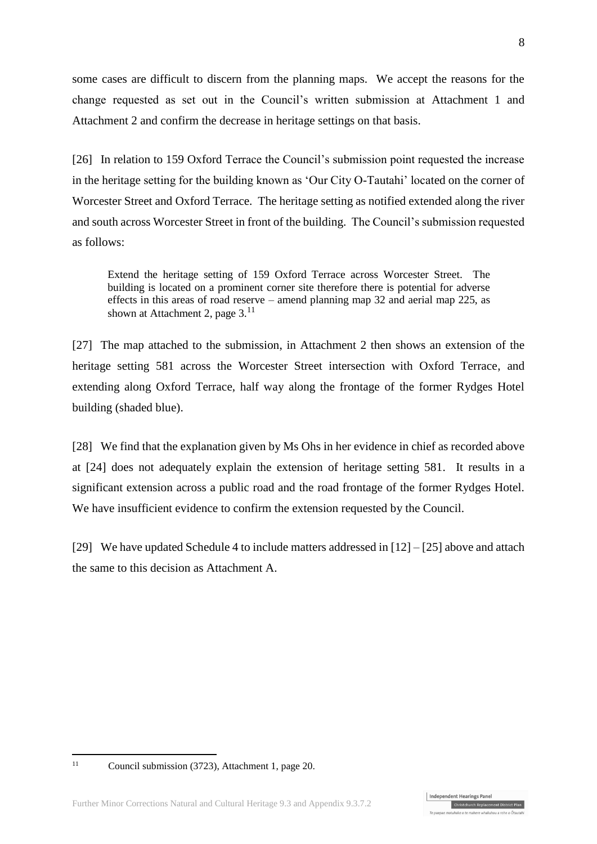some cases are difficult to discern from the planning maps. We accept the reasons for the change requested as set out in the Council's written submission at Attachment 1 and Attachment 2 and confirm the decrease in heritage settings on that basis.

[26] In relation to 159 Oxford Terrace the Council's submission point requested the increase in the heritage setting for the building known as 'Our City O-Tautahi' located on the corner of Worcester Street and Oxford Terrace. The heritage setting as notified extended along the river and south across Worcester Street in front of the building. The Council's submission requested as follows:

Extend the heritage setting of 159 Oxford Terrace across Worcester Street. The building is located on a prominent corner site therefore there is potential for adverse effects in this areas of road reserve – amend planning map 32 and aerial map 225, as shown at Attachment 2, page  $3.^{11}$ 

[27] The map attached to the submission, in Attachment 2 then shows an extension of the heritage setting 581 across the Worcester Street intersection with Oxford Terrace, and extending along Oxford Terrace, half way along the frontage of the former Rydges Hotel building (shaded blue).

[28] We find that the explanation given by Ms Ohs in her evidence in chief as recorded above at [\[24\]](#page-6-0) does not adequately explain the extension of heritage setting 581. It results in a significant extension across a public road and the road frontage of the former Rydges Hotel. We have insufficient evidence to confirm the extension requested by the Council.

[29] We have updated Schedule 4 to include matters addressed in  $[12] - [25]$  $[12] - [25]$  above and attach the same to this decision as Attachment A.

 $11$ 

Christchurch Replacement District Plan

Independent Hearings Panel

Council submission (3723), Attachment 1, page 20.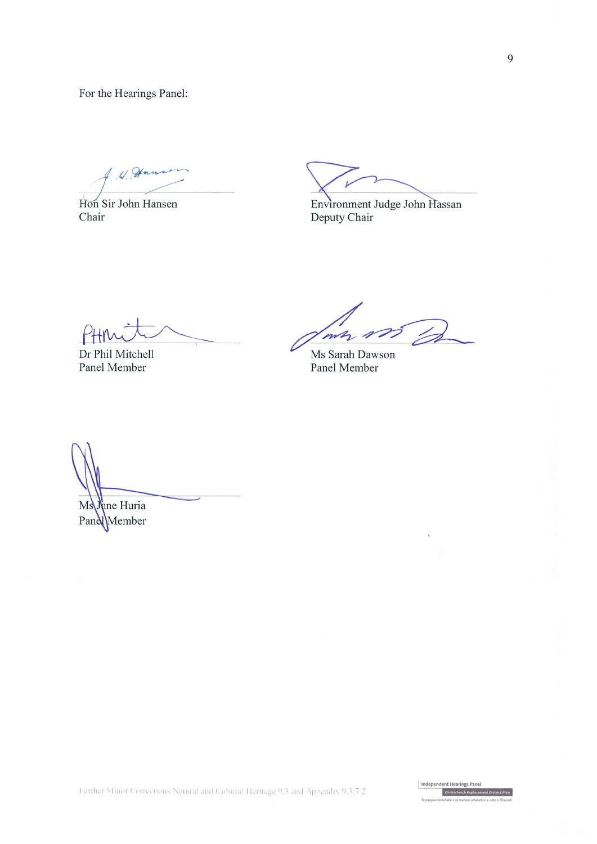For the Hearings Panel:

 $49$ 

Hon Sir John Hansen Chair

Environment Judge John Hassan Deputy Chair

Γł

Dr Phil Mitchell Panel Member

mz

Ms Sarah Dawson Panel Member

Jane Huria Ms Pand

Independent Hearings Panel Christchurch Replacement D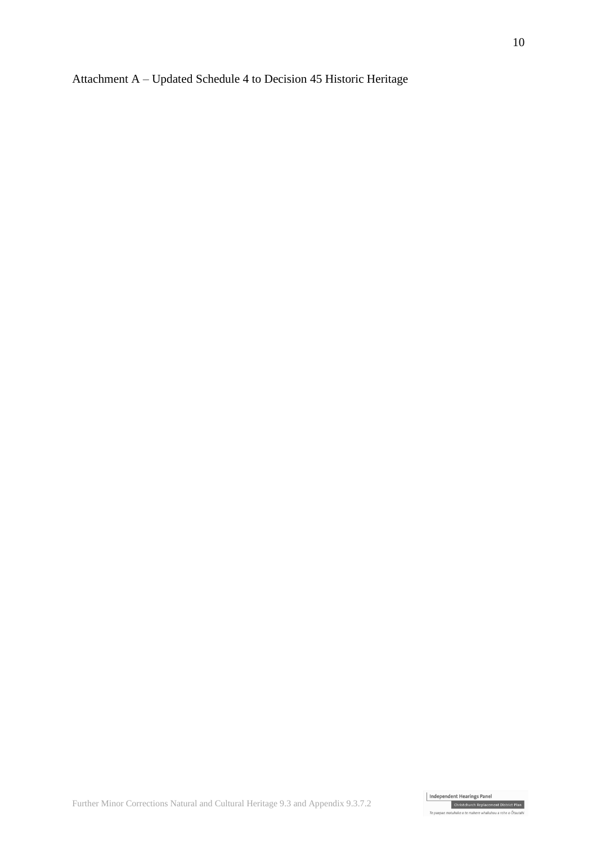# Attachment A – Updated Schedule 4 to Decision 45 Historic Heritage



 $\tau_{\alpha}$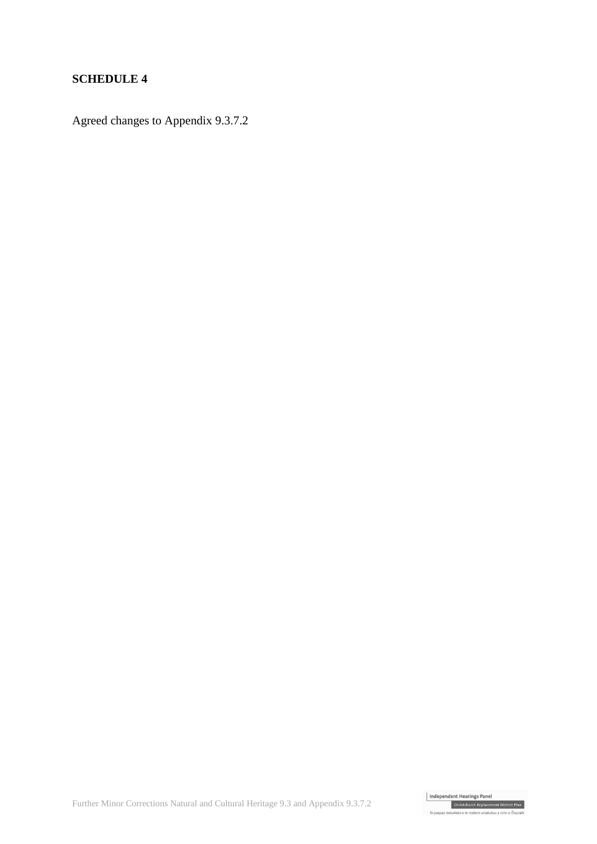## **SCHEDULE 4**

Agreed changes to Appendix 9.3.7.2

Further Minor Corrections Natural and Cultural Heritage 9.3 and Appendix 9.3.7.2

To nanna r .<br>1960 - An makara ududeskau a raka a An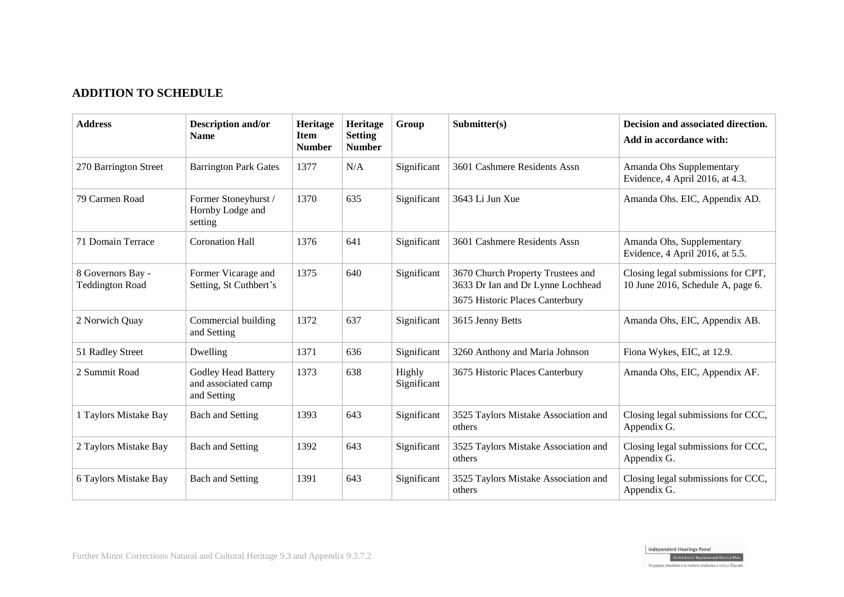# **ADDITION TO SCHEDULE**

| <b>Address</b>                              | <b>Description and/or</b><br><b>Name</b>                         | Heritage<br><b>Item</b><br><b>Number</b> | Heritage<br><b>Setting</b><br><b>Number</b> | Group                 | Submitter(s)                                                                                              | Decision and associated direction.<br>Add in accordance with:           |
|---------------------------------------------|------------------------------------------------------------------|------------------------------------------|---------------------------------------------|-----------------------|-----------------------------------------------------------------------------------------------------------|-------------------------------------------------------------------------|
| 270 Barrington Street                       | <b>Barrington Park Gates</b>                                     | 1377                                     | N/A                                         | Significant           | 3601 Cashmere Residents Assn                                                                              | Amanda Ohs Supplementary<br>Evidence, 4 April 2016, at 4.3.             |
| 79 Carmen Road                              | Former Stoneyhurst /<br>Hornby Lodge and<br>setting              | 1370                                     | 635                                         | Significant           | 3643 Li Jun Xue                                                                                           | Amanda Ohs. EIC, Appendix AD.                                           |
| 71 Domain Terrace                           | <b>Coronation Hall</b>                                           | 1376                                     | 641                                         | Significant           | 3601 Cashmere Residents Assn                                                                              | Amanda Ohs, Supplementary<br>Evidence, 4 April 2016, at 5.5.            |
| 8 Governors Bay -<br><b>Teddington Road</b> | Former Vicarage and<br>Setting, St Cuthbert's                    | 1375                                     | 640                                         | Significant           | 3670 Church Property Trustees and<br>3633 Dr Ian and Dr Lynne Lochhead<br>3675 Historic Places Canterbury | Closing legal submissions for CPT,<br>10 June 2016, Schedule A, page 6. |
| 2 Norwich Quay                              | Commercial building<br>and Setting                               | 1372                                     | 637                                         | Significant           | 3615 Jenny Betts                                                                                          | Amanda Ohs, EIC, Appendix AB.                                           |
| 51 Radley Street                            | Dwelling                                                         | 1371                                     | 636                                         | Significant           | 3260 Anthony and Maria Johnson                                                                            | Fiona Wykes, EIC, at 12.9.                                              |
| 2 Summit Road                               | <b>Godley Head Battery</b><br>and associated camp<br>and Setting | 1373                                     | 638                                         | Highly<br>Significant | 3675 Historic Places Canterbury                                                                           | Amanda Ohs, EIC, Appendix AF.                                           |
| 1 Taylors Mistake Bay                       | <b>Bach and Setting</b>                                          | 1393                                     | 643                                         | Significant           | 3525 Taylors Mistake Association and<br>others                                                            | Closing legal submissions for CCC,<br>Appendix G.                       |
| 2 Taylors Mistake Bay                       | <b>Bach and Setting</b>                                          | 1392                                     | 643                                         | Significant           | 3525 Taylors Mistake Association and<br>others                                                            | Closing legal submissions for CCC,<br>Appendix G.                       |
| 6 Taylors Mistake Bay                       | <b>Bach and Setting</b>                                          | 1391                                     | 643                                         | Significant           | 3525 Taylors Mistake Association and<br>others                                                            | Closing legal submissions for CCC,<br>Appendix G.                       |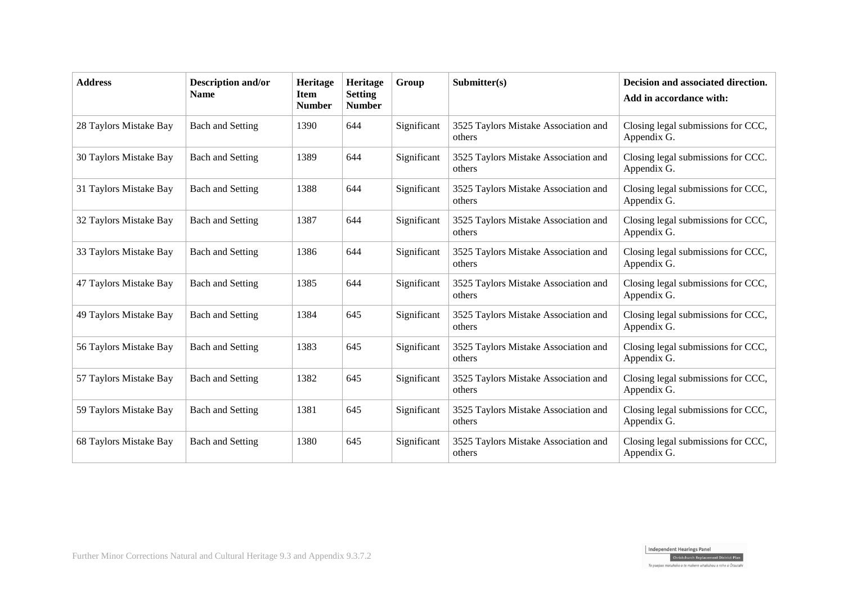| <b>Address</b>         | <b>Description and/or</b><br><b>Name</b> | Heritage<br><b>Item</b><br><b>Number</b> | Heritage<br><b>Setting</b><br><b>Number</b> | Group       | Submitter(s)                                   | Decision and associated direction.<br>Add in accordance with: |
|------------------------|------------------------------------------|------------------------------------------|---------------------------------------------|-------------|------------------------------------------------|---------------------------------------------------------------|
| 28 Taylors Mistake Bay | <b>Bach and Setting</b>                  | 1390                                     | 644                                         | Significant | 3525 Taylors Mistake Association and<br>others | Closing legal submissions for CCC,<br>Appendix G.             |
| 30 Taylors Mistake Bay | <b>Bach and Setting</b>                  | 1389                                     | 644                                         | Significant | 3525 Taylors Mistake Association and<br>others | Closing legal submissions for CCC.<br>Appendix G.             |
| 31 Taylors Mistake Bay | <b>Bach and Setting</b>                  | 1388                                     | 644                                         | Significant | 3525 Taylors Mistake Association and<br>others | Closing legal submissions for CCC,<br>Appendix G.             |
| 32 Taylors Mistake Bay | <b>Bach and Setting</b>                  | 1387                                     | 644                                         | Significant | 3525 Taylors Mistake Association and<br>others | Closing legal submissions for CCC,<br>Appendix G.             |
| 33 Taylors Mistake Bay | <b>Bach and Setting</b>                  | 1386                                     | 644                                         | Significant | 3525 Taylors Mistake Association and<br>others | Closing legal submissions for CCC,<br>Appendix G.             |
| 47 Taylors Mistake Bay | <b>Bach and Setting</b>                  | 1385                                     | 644                                         | Significant | 3525 Taylors Mistake Association and<br>others | Closing legal submissions for CCC,<br>Appendix G.             |
| 49 Taylors Mistake Bay | <b>Bach and Setting</b>                  | 1384                                     | 645                                         | Significant | 3525 Taylors Mistake Association and<br>others | Closing legal submissions for CCC,<br>Appendix G.             |
| 56 Taylors Mistake Bay | <b>Bach and Setting</b>                  | 1383                                     | 645                                         | Significant | 3525 Taylors Mistake Association and<br>others | Closing legal submissions for CCC,<br>Appendix G.             |
| 57 Taylors Mistake Bay | <b>Bach and Setting</b>                  | 1382                                     | 645                                         | Significant | 3525 Taylors Mistake Association and<br>others | Closing legal submissions for CCC,<br>Appendix G.             |
| 59 Taylors Mistake Bay | <b>Bach and Setting</b>                  | 1381                                     | 645                                         | Significant | 3525 Taylors Mistake Association and<br>others | Closing legal submissions for CCC,<br>Appendix G.             |
| 68 Taylors Mistake Bay | <b>Bach and Setting</b>                  | 1380                                     | 645                                         | Significant | 3525 Taylors Mistake Association and<br>others | Closing legal submissions for CCC,<br>Appendix G.             |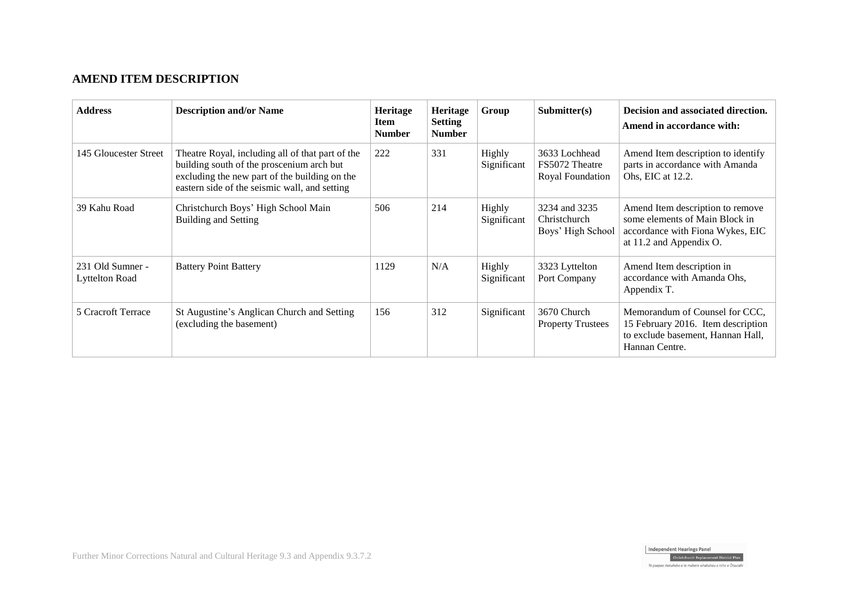## **AMEND ITEM DESCRIPTION**

| <b>Address</b>                            | <b>Description and/or Name</b>                                                                                                                                                                  | <b>Heritage</b><br>Item<br><b>Number</b> | <b>Heritage</b><br><b>Setting</b><br><b>Number</b> | Group                 | $\text{Submitter}(s)$                               | Decision and associated direction.<br>Amend in accordance with:                                                                   |
|-------------------------------------------|-------------------------------------------------------------------------------------------------------------------------------------------------------------------------------------------------|------------------------------------------|----------------------------------------------------|-----------------------|-----------------------------------------------------|-----------------------------------------------------------------------------------------------------------------------------------|
| 145 Gloucester Street                     | Theatre Royal, including all of that part of the<br>building south of the proscenium arch but<br>excluding the new part of the building on the<br>eastern side of the seismic wall, and setting | 222                                      | 331                                                | Highly<br>Significant | 3633 Lochhead<br>FS5072 Theatre<br>Royal Foundation | Amend Item description to identify<br>parts in accordance with Amanda<br>Ohs, EIC at 12.2.                                        |
| 39 Kahu Road                              | Christchurch Boys' High School Main<br><b>Building and Setting</b>                                                                                                                              | 506                                      | 214                                                | Highly<br>Significant | 3234 and 3235<br>Christchurch<br>Boys' High School  | Amend Item description to remove<br>some elements of Main Block in<br>accordance with Fiona Wykes, EIC<br>at 11.2 and Appendix O. |
| 231 Old Sumner -<br><b>Lyttelton Road</b> | <b>Battery Point Battery</b>                                                                                                                                                                    | 1129                                     | N/A                                                | Highly<br>Significant | 3323 Lyttelton<br>Port Company                      | Amend Item description in<br>accordance with Amanda Ohs,<br>Appendix T.                                                           |
| 5 Cracroft Terrace                        | St Augustine's Anglican Church and Setting<br>(excluding the basement)                                                                                                                          | 156                                      | 312                                                | Significant           | 3670 Church<br><b>Property Trustees</b>             | Memorandum of Counsel for CCC,<br>15 February 2016. Item description<br>to exclude basement, Hannan Hall,<br>Hannan Centre.       |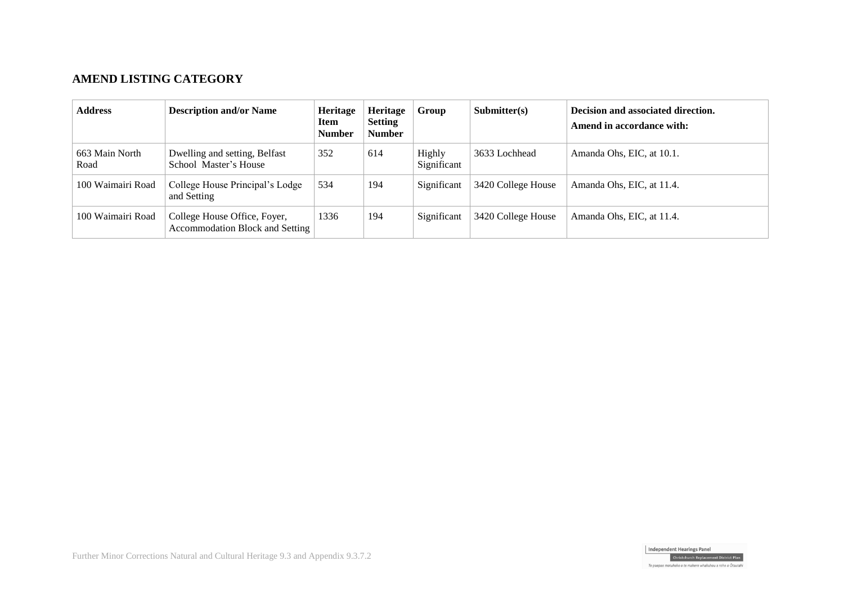# **AMEND LISTING CATEGORY**

| <b>Address</b>         | <b>Description and/or Name</b>                                         | <b>Heritage</b><br>Item<br><b>Number</b> | <b>Heritage</b><br><b>Setting</b><br><b>Number</b> | Group                 | Submitter(s)       | Decision and associated direction.<br>Amend in accordance with: |
|------------------------|------------------------------------------------------------------------|------------------------------------------|----------------------------------------------------|-----------------------|--------------------|-----------------------------------------------------------------|
| 663 Main North<br>Road | Dwelling and setting, Belfast<br>School Master's House                 | 352                                      | 614                                                | Highly<br>Significant | 3633 Lochhead      | Amanda Ohs, EIC, at 10.1.                                       |
| 100 Waimairi Road      | College House Principal's Lodge<br>and Setting                         | 534                                      | 194                                                | Significant           | 3420 College House | Amanda Ohs, EIC, at 11.4.                                       |
| 100 Waimairi Road      | College House Office, Foyer,<br><b>Accommodation Block and Setting</b> | 1336                                     | 194                                                | Significant           | 3420 College House | Amanda Ohs, EIC, at 11.4.                                       |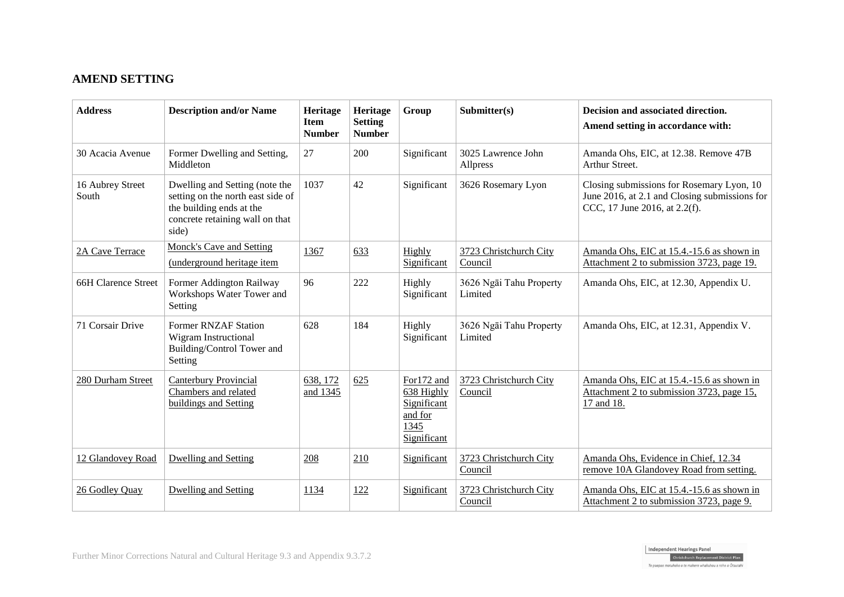# **AMEND SETTING**

| <b>Address</b>            | <b>Description and/or Name</b>                                                                                                              | Heritage<br><b>Item</b><br><b>Number</b> | Heritage<br><b>Setting</b><br><b>Number</b> | Group                                                                     | Submitter(s)                       | Decision and associated direction.<br>Amend setting in accordance with:                                                     |
|---------------------------|---------------------------------------------------------------------------------------------------------------------------------------------|------------------------------------------|---------------------------------------------|---------------------------------------------------------------------------|------------------------------------|-----------------------------------------------------------------------------------------------------------------------------|
| 30 Acacia Avenue          | Former Dwelling and Setting,<br>Middleton                                                                                                   | 27                                       | 200                                         | Significant                                                               | 3025 Lawrence John<br>Allpress     | Amanda Ohs, EIC, at 12.38. Remove 47B<br>Arthur Street.                                                                     |
| 16 Aubrey Street<br>South | Dwelling and Setting (note the<br>setting on the north east side of<br>the building ends at the<br>concrete retaining wall on that<br>side) | 1037                                     | 42                                          | Significant                                                               | 3626 Rosemary Lyon                 | Closing submissions for Rosemary Lyon, 10<br>June 2016, at 2.1 and Closing submissions for<br>CCC, 17 June 2016, at 2.2(f). |
| 2A Cave Terrace           | <b>Monck's Cave and Setting</b><br>(underground heritage item                                                                               | 1367                                     | 633                                         | Highly<br>Significant                                                     | 3723 Christchurch City<br>Council  | Amanda Ohs, EIC at 15.4.-15.6 as shown in<br>Attachment 2 to submission 3723, page 19.                                      |
| 66H Clarence Street       | Former Addington Railway<br>Workshops Water Tower and<br>Setting                                                                            | 96                                       | 222                                         | Highly<br>Significant                                                     | 3626 Ngāi Tahu Property<br>Limited | Amanda Ohs, EIC, at 12.30, Appendix U.                                                                                      |
| 71 Corsair Drive          | <b>Former RNZAF Station</b><br><b>Wigram Instructional</b><br>Building/Control Tower and<br>Setting                                         | 628                                      | 184                                         | Highly<br>Significant                                                     | 3626 Ngāi Tahu Property<br>Limited | Amanda Ohs, EIC, at 12.31, Appendix V.                                                                                      |
| 280 Durham Street         | <b>Canterbury Provincial</b><br>Chambers and related<br>buildings and Setting                                                               | 638, 172<br>and 1345                     | 625                                         | For172 and<br>638 Highly<br>Significant<br>and for<br>1345<br>Significant | 3723 Christchurch City<br>Council  | Amanda Ohs, EIC at 15.4.-15.6 as shown in<br>Attachment 2 to submission 3723, page 15,<br>17 and 18.                        |
| 12 Glandovey Road         | <b>Dwelling and Setting</b>                                                                                                                 | 208                                      | 210                                         | Significant                                                               | 3723 Christchurch City<br>Council  | Amanda Ohs, Evidence in Chief, 12.34<br>remove 10A Glandovey Road from setting.                                             |
| 26 Godley Quay            | <b>Dwelling and Setting</b>                                                                                                                 | 1134                                     | 122                                         | Significant                                                               | 3723 Christchurch City<br>Council  | Amanda Ohs, EIC at 15.4.-15.6 as shown in<br>Attachment 2 to submission 3723, page 9.                                       |

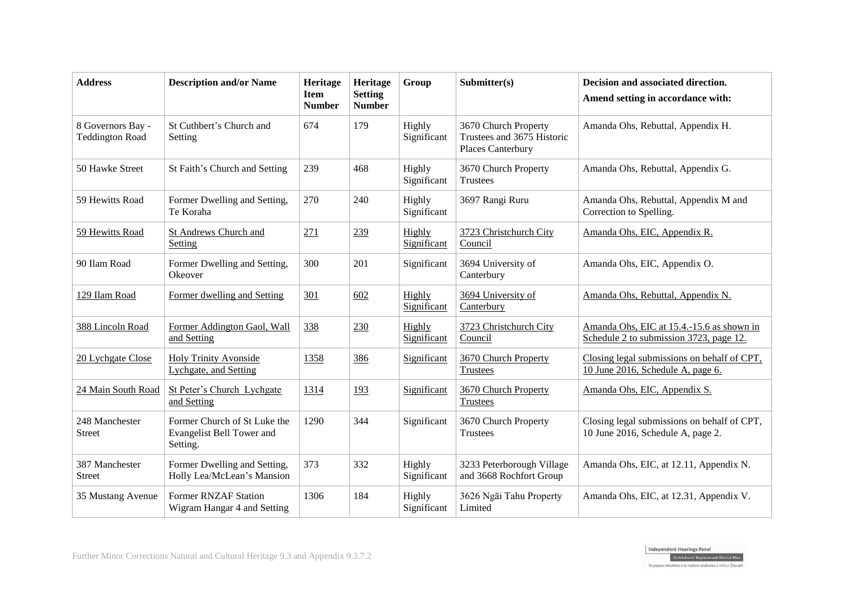| <b>Address</b>                              | <b>Description and/or Name</b>                                        | Heritage<br><b>Item</b><br><b>Number</b> | Heritage<br><b>Setting</b><br><b>Number</b> | Group                 | Submitter(s)                                                            | Decision and associated direction.<br>Amend setting in accordance with:              |
|---------------------------------------------|-----------------------------------------------------------------------|------------------------------------------|---------------------------------------------|-----------------------|-------------------------------------------------------------------------|--------------------------------------------------------------------------------------|
| 8 Governors Bay -<br><b>Teddington Road</b> | St Cuthbert's Church and<br>Setting                                   | 674                                      | 179                                         | Highly<br>Significant | 3670 Church Property<br>Trustees and 3675 Historic<br>Places Canterbury | Amanda Ohs, Rebuttal, Appendix H.                                                    |
| 50 Hawke Street                             | St Faith's Church and Setting                                         | 239                                      | 468                                         | Highly<br>Significant | 3670 Church Property<br>Trustees                                        | Amanda Ohs, Rebuttal, Appendix G.                                                    |
| 59 Hewitts Road                             | Former Dwelling and Setting,<br>Te Koraha                             | 270                                      | 240                                         | Highly<br>Significant | 3697 Rangi Ruru                                                         | Amanda Ohs, Rebuttal, Appendix M and<br>Correction to Spelling.                      |
| 59 Hewitts Road                             | St Andrews Church and<br>Setting                                      | 271                                      | 239                                         | Highly<br>Significant | 3723 Christchurch City<br>Council                                       | Amanda Ohs, EIC, Appendix R.                                                         |
| 90 Ilam Road                                | Former Dwelling and Setting,<br>Okeover                               | 300                                      | 201                                         | Significant           | 3694 University of<br>Canterbury                                        | Amanda Ohs, EIC, Appendix O.                                                         |
| 129 Ilam Road                               | Former dwelling and Setting                                           | 301                                      | 602                                         | Highly<br>Significant | 3694 University of<br>Canterbury                                        | Amanda Ohs, Rebuttal, Appendix N.                                                    |
| 388 Lincoln Road                            | Former Addington Gaol, Wall<br>and Setting                            | 338                                      | 230                                         | Highly<br>Significant | 3723 Christchurch City<br>Council                                       | Amanda Ohs, EIC at 15.4.-15.6 as shown in<br>Schedule 2 to submission 3723, page 12. |
| 20 Lychgate Close                           | <b>Holy Trinity Avonside</b><br>Lychgate, and Setting                 | 1358                                     | 386                                         | Significant           | 3670 Church Property<br><b>Trustees</b>                                 | Closing legal submissions on behalf of CPT,<br>10 June 2016, Schedule A, page 6.     |
| 24 Main South Road                          | St Peter's Church Lychgate<br>and Setting                             | 1314                                     | 193                                         | Significant           | 3670 Church Property<br><b>Trustees</b>                                 | Amanda Ohs, EIC, Appendix S.                                                         |
| 248 Manchester<br><b>Street</b>             | Former Church of St Luke the<br>Evangelist Bell Tower and<br>Setting. | 1290                                     | 344                                         | Significant           | 3670 Church Property<br>Trustees                                        | Closing legal submissions on behalf of CPT,<br>10 June 2016, Schedule A, page 2.     |
| 387 Manchester<br><b>Street</b>             | Former Dwelling and Setting,<br>Holly Lea/McLean's Mansion            | 373                                      | 332                                         | Highly<br>Significant | 3233 Peterborough Village<br>and 3668 Rochfort Group                    | Amanda Ohs, EIC, at 12.11, Appendix N.                                               |
| 35 Mustang Avenue                           | <b>Former RNZAF Station</b><br>Wigram Hangar 4 and Setting            | 1306                                     | 184                                         | Highly<br>Significant | 3626 Ngāi Tahu Property<br>Limited                                      | Amanda Ohs, EIC, at 12.31, Appendix V.                                               |

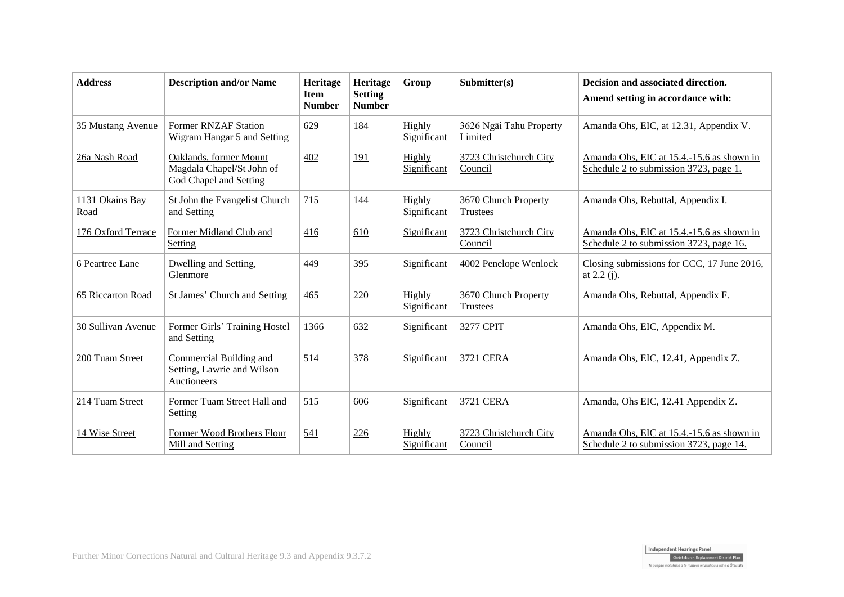| <b>Address</b>          | <b>Description and/or Name</b>                                                       | <b>Heritage</b><br><b>Item</b><br><b>Number</b> | Heritage<br><b>Setting</b><br><b>Number</b> | Group                 | Submitter(s)                            | Decision and associated direction.<br>Amend setting in accordance with:              |
|-------------------------|--------------------------------------------------------------------------------------|-------------------------------------------------|---------------------------------------------|-----------------------|-----------------------------------------|--------------------------------------------------------------------------------------|
| 35 Mustang Avenue       | Former RNZAF Station<br>Wigram Hangar 5 and Setting                                  | 629                                             | 184                                         | Highly<br>Significant | 3626 Ngāi Tahu Property<br>Limited      | Amanda Ohs, EIC, at 12.31, Appendix V.                                               |
| 26a Nash Road           | Oaklands, former Mount<br>Magdala Chapel/St John of<br><b>God Chapel and Setting</b> | 402                                             | 191                                         | Highly<br>Significant | 3723 Christchurch City<br>Council       | Amanda Ohs, EIC at 15.4.-15.6 as shown in<br>Schedule 2 to submission 3723, page 1.  |
| 1131 Okains Bay<br>Road | St John the Evangelist Church<br>and Setting                                         | 715                                             | 144                                         | Highly<br>Significant | 3670 Church Property<br><b>Trustees</b> | Amanda Ohs, Rebuttal, Appendix I.                                                    |
| 176 Oxford Terrace      | Former Midland Club and<br>Setting                                                   | 416                                             | 610                                         | Significant           | 3723 Christchurch City<br>Council       | Amanda Ohs, EIC at 15.4.-15.6 as shown in<br>Schedule 2 to submission 3723, page 16. |
| 6 Peartree Lane         | Dwelling and Setting,<br>Glenmore                                                    | 449                                             | 395                                         | Significant           | 4002 Penelope Wenlock                   | Closing submissions for CCC, 17 June 2016,<br>at $2.2(j)$ .                          |
| 65 Riccarton Road       | St James' Church and Setting                                                         | 465                                             | 220                                         | Highly<br>Significant | 3670 Church Property<br>Trustees        | Amanda Ohs, Rebuttal, Appendix F.                                                    |
| 30 Sullivan Avenue      | Former Girls' Training Hostel<br>and Setting                                         | 1366                                            | 632                                         | Significant           | 3277 CPIT                               | Amanda Ohs, EIC, Appendix M.                                                         |
| 200 Tuam Street         | Commercial Building and<br>Setting, Lawrie and Wilson<br>Auctioneers                 | 514                                             | 378                                         | Significant           | 3721 CERA                               | Amanda Ohs, EIC, 12.41, Appendix Z.                                                  |
| 214 Tuam Street         | Former Tuam Street Hall and<br>Setting                                               | 515                                             | 606                                         | Significant           | <b>3721 CERA</b>                        | Amanda, Ohs EIC, 12.41 Appendix Z.                                                   |
| 14 Wise Street          | Former Wood Brothers Flour<br>Mill and Setting                                       | 541                                             | 226                                         | Highly<br>Significant | 3723 Christchurch City<br>Council       | Amanda Ohs, EIC at 15.4.-15.6 as shown in<br>Schedule 2 to submission 3723, page 14. |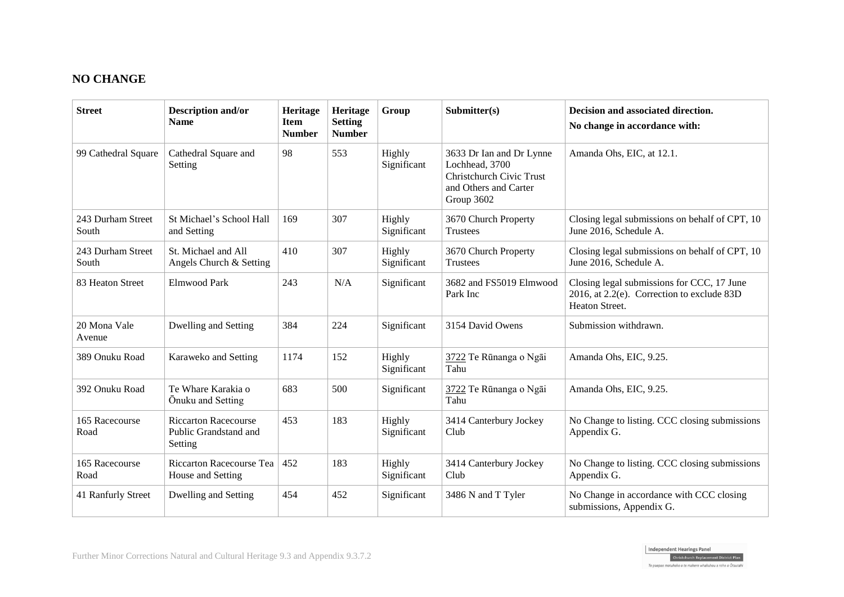# **NO CHANGE**

| <b>Street</b>              | <b>Description and/or</b><br><b>Name</b>                        | Heritage<br><b>Item</b><br><b>Number</b> | Heritage<br><b>Setting</b><br><b>Number</b> | Group                 | Submitter(s)                                                                                                  | Decision and associated direction.<br>No change in accordance with:                                           |
|----------------------------|-----------------------------------------------------------------|------------------------------------------|---------------------------------------------|-----------------------|---------------------------------------------------------------------------------------------------------------|---------------------------------------------------------------------------------------------------------------|
| 99 Cathedral Square        | Cathedral Square and<br>Setting                                 | 98                                       | 553                                         | Highly<br>Significant | 3633 Dr Ian and Dr Lynne<br>Lochhead, 3700<br>Christchurch Civic Trust<br>and Others and Carter<br>Group 3602 | Amanda Ohs, EIC, at 12.1.                                                                                     |
| 243 Durham Street<br>South | St Michael's School Hall<br>and Setting                         | 169                                      | 307                                         | Highly<br>Significant | 3670 Church Property<br><b>Trustees</b>                                                                       | Closing legal submissions on behalf of CPT, 10<br>June 2016, Schedule A.                                      |
| 243 Durham Street<br>South | St. Michael and All<br>Angels Church & Setting                  | 410                                      | 307                                         | Highly<br>Significant | 3670 Church Property<br>Trustees                                                                              | Closing legal submissions on behalf of CPT, 10<br>June 2016, Schedule A.                                      |
| 83 Heaton Street           | <b>Elmwood Park</b>                                             | 243                                      | N/A                                         | Significant           | 3682 and FS5019 Elmwood<br>Park Inc                                                                           | Closing legal submissions for CCC, 17 June<br>2016, at $2.2(e)$ . Correction to exclude 83D<br>Heaton Street. |
| 20 Mona Vale<br>Avenue     | Dwelling and Setting                                            | 384                                      | 224                                         | Significant           | 3154 David Owens                                                                                              | Submission withdrawn.                                                                                         |
| 389 Onuku Road             | Karaweko and Setting                                            | 1174                                     | 152                                         | Highly<br>Significant | 3722 Te Rūnanga o Ngāi<br>Tahu                                                                                | Amanda Ohs, EIC, 9.25.                                                                                        |
| 392 Onuku Road             | Te Whare Karakia o<br>Onuku and Setting                         | 683                                      | 500                                         | Significant           | 3722 Te Rūnanga o Ngāi<br>Tahu                                                                                | Amanda Ohs, EIC, 9.25.                                                                                        |
| 165 Racecourse<br>Road     | <b>Riccarton Racecourse</b><br>Public Grandstand and<br>Setting | 453                                      | 183                                         | Highly<br>Significant | 3414 Canterbury Jockey<br>Club                                                                                | No Change to listing. CCC closing submissions<br>Appendix G.                                                  |
| 165 Racecourse<br>Road     | Riccarton Racecourse Tea<br>House and Setting                   | 452                                      | 183                                         | Highly<br>Significant | 3414 Canterbury Jockey<br>Club                                                                                | No Change to listing. CCC closing submissions<br>Appendix G.                                                  |
| 41 Ranfurly Street         | Dwelling and Setting                                            | 454                                      | 452                                         | Significant           | 3486 N and T Tyler                                                                                            | No Change in accordance with CCC closing<br>submissions, Appendix G.                                          |

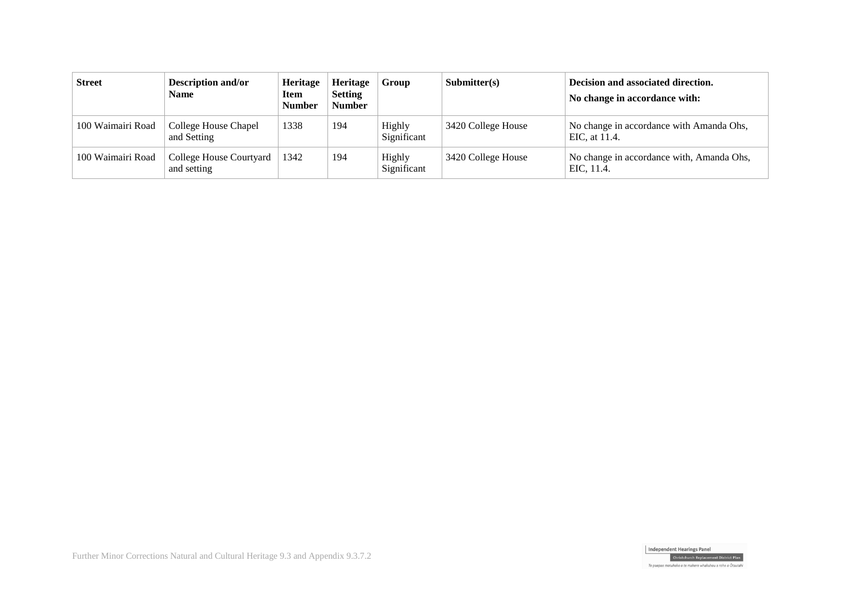| <b>Street</b>     | <b>Description and/or</b><br>Name      | Heritage<br>Item<br><b>Number</b> | <b>Heritage</b><br><b>Setting</b><br><b>Number</b> | Group                 | Submitter(s)       | Decision and associated direction.<br>No change in accordance with: |
|-------------------|----------------------------------------|-----------------------------------|----------------------------------------------------|-----------------------|--------------------|---------------------------------------------------------------------|
| 100 Waimairi Road | College House Chapel<br>and Setting    | 1338                              | 194                                                | Highly<br>Significant | 3420 College House | No change in accordance with Amanda Ohs,<br>EIC, at 11.4.           |
| 100 Waimairi Road | College House Courtyard<br>and setting | 1342                              | 194                                                | Highly<br>Significant | 3420 College House | No change in accordance with, Amanda Ohs,<br>EIC, 11.4.             |

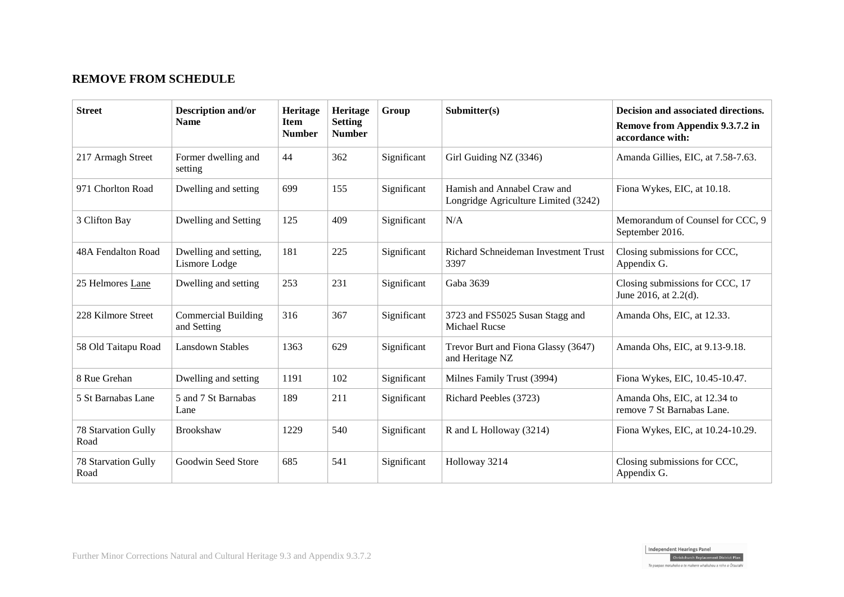# **REMOVE FROM SCHEDULE**

| <b>Street</b>                      | <b>Description and/or</b><br><b>Name</b>  | Heritage<br><b>Item</b><br><b>Number</b> | <b>Heritage</b><br><b>Setting</b><br><b>Number</b> | Group       | Submitter(s)                                                        | Decision and associated directions.<br>Remove from Appendix 9.3.7.2 in<br>accordance with: |
|------------------------------------|-------------------------------------------|------------------------------------------|----------------------------------------------------|-------------|---------------------------------------------------------------------|--------------------------------------------------------------------------------------------|
| 217 Armagh Street                  | Former dwelling and<br>setting            | 44                                       | 362                                                | Significant | Girl Guiding NZ (3346)                                              | Amanda Gillies, EIC, at 7.58-7.63.                                                         |
| 971 Chorlton Road                  | Dwelling and setting                      | 699                                      | 155                                                | Significant | Hamish and Annabel Craw and<br>Longridge Agriculture Limited (3242) | Fiona Wykes, EIC, at 10.18.                                                                |
| 3 Clifton Bay                      | Dwelling and Setting                      | 125                                      | 409                                                | Significant | N/A                                                                 | Memorandum of Counsel for CCC, 9<br>September 2016.                                        |
| 48A Fendalton Road                 | Dwelling and setting,<br>Lismore Lodge    | 181                                      | 225                                                | Significant | Richard Schneideman Investment Trust<br>3397                        | Closing submissions for CCC,<br>Appendix G.                                                |
| 25 Helmores Lane                   | Dwelling and setting                      | 253                                      | 231                                                | Significant | Gaba 3639                                                           | Closing submissions for CCC, 17<br>June 2016, at 2.2(d).                                   |
| 228 Kilmore Street                 | <b>Commercial Building</b><br>and Setting | 316                                      | 367                                                | Significant | 3723 and FS5025 Susan Stagg and<br><b>Michael Rucse</b>             | Amanda Ohs, EIC, at 12.33.                                                                 |
| 58 Old Taitapu Road                | <b>Lansdown Stables</b>                   | 1363                                     | 629                                                | Significant | Trevor Burt and Fiona Glassy (3647)<br>and Heritage NZ              | Amanda Ohs, EIC, at 9.13-9.18.                                                             |
| 8 Rue Grehan                       | Dwelling and setting                      | 1191                                     | 102                                                | Significant | Milnes Family Trust (3994)                                          | Fiona Wykes, EIC, 10.45-10.47.                                                             |
| 5 St Barnabas Lane                 | 5 and 7 St Barnabas<br>Lane               | 189                                      | 211                                                | Significant | Richard Peebles (3723)                                              | Amanda Ohs, EIC, at 12.34 to<br>remove 7 St Barnabas Lane.                                 |
| <b>78 Starvation Gully</b><br>Road | Brookshaw                                 | 1229                                     | 540                                                | Significant | R and L Holloway (3214)                                             | Fiona Wykes, EIC, at 10.24-10.29.                                                          |
| <b>78 Starvation Gully</b><br>Road | Goodwin Seed Store                        | 685                                      | 541                                                | Significant | Holloway 3214                                                       | Closing submissions for CCC,<br>Appendix G.                                                |